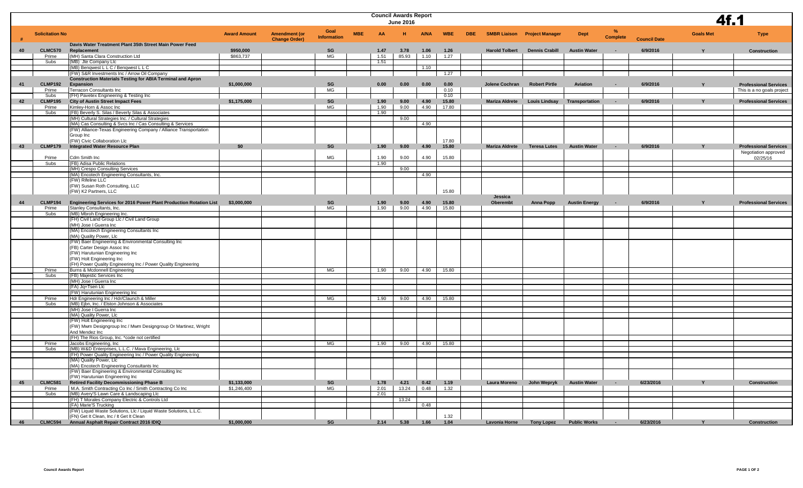|    |                        |                                                                                                           | <b>Council Awards Report</b><br><b>June 2016</b> |                      |                    |                  |       |             |              |            |                       |                                     |                       |                 | 4f.1                |                  |                              |
|----|------------------------|-----------------------------------------------------------------------------------------------------------|--------------------------------------------------|----------------------|--------------------|------------------|-------|-------------|--------------|------------|-----------------------|-------------------------------------|-----------------------|-----------------|---------------------|------------------|------------------------------|
|    | <b>Solicitation No</b> |                                                                                                           | <b>Award Amount</b>                              | <b>Amendment (or</b> | Goal               | <b>MBE</b><br>AA |       | <b>A/NA</b> | <b>WBE</b>   | <b>DBE</b> |                       | <b>SMBR Liaison Project Manager</b> | <b>Dept</b>           | $\frac{9}{6}$   |                     | <b>Goals Met</b> | <b>Type</b>                  |
|    |                        | Davis Water Treatment Plant 35th Street Main Power Feed                                                   |                                                  | <b>Change Order)</b> | <b>Information</b> |                  |       |             |              |            |                       |                                     |                       | <b>Complete</b> | <b>Council Date</b> |                  |                              |
| 40 | <b>CLMC570</b>         | Replacement                                                                                               | \$950,000                                        |                      | SG                 | 1.47             | 3.78  | 1.06        | 1.26         |            | <b>Harold Tolbert</b> | <b>Dennis Crabill</b>               | <b>Austin Water</b>   |                 | 6/9/2016            |                  | <b>Construction</b>          |
|    | Prime                  | (MH) Santa Clara Construction Ltd                                                                         | \$863,737                                        |                      | <b>MG</b>          | 1.51             | 85.93 | 1.10        | 1.27         |            |                       |                                     |                       |                 |                     |                  |                              |
|    | Subs                   | (MB) Jte Company Llc<br>(MB) Benqwest L L C / Benqwest L L C                                              |                                                  |                      |                    | 1.51             |       | 1.10        |              |            |                       |                                     |                       |                 |                     |                  |                              |
|    |                        | (FW) S&R Investments Inc / Arrow Oil Company                                                              |                                                  |                      |                    |                  |       |             | 1.27         |            |                       |                                     |                       |                 |                     |                  |                              |
|    |                        | <b>Construction Materials Testing for ABIA Terminal and Apron</b>                                         |                                                  |                      |                    |                  |       |             |              |            |                       |                                     |                       |                 |                     |                  |                              |
| 41 | <b>CLMP192</b>         | Expansion                                                                                                 | \$1,000,000                                      |                      | SG<br><b>MG</b>    | 0.00             | 0.00  | 0.00        | 0.00<br>0.10 |            | Jolene Cochran        | <b>Robert Pirtle</b>                | Aviation              |                 | 6/9/2016            |                  | <b>Professional Services</b> |
|    | Prime<br>Subs          | Terracon Consultants Inc<br>(FH) Pavetex Engineering & Testing Inc                                        |                                                  |                      |                    |                  |       |             | 0.10         |            |                       |                                     |                       |                 |                     |                  | This is a no goals project   |
| 42 | <b>CLMP195</b>         | <b>City of Austin Street Impact Fees</b>                                                                  | \$1,175,000                                      |                      | SG                 | .90              | 9.00  | 4.90        | 15.80        |            | <b>Mariza Aldrete</b> | <b>Louis Lindsay</b>                | <b>Transportation</b> |                 | 6/9/2016            |                  | <b>Professional Services</b> |
|    | Prime                  | Kimley-Horn & Assoc Inc                                                                                   |                                                  |                      | MG                 | 1.90             | 9.00  | 4.90        | 17.80        |            |                       |                                     |                       |                 |                     |                  |                              |
|    | Subs                   | (FB) Beverly S. Silas / Beverly Silas & Associates<br>(MH) Cultural Strategies Inc. / Cultural Strategies |                                                  |                      |                    | 1.90             | 9.00  |             |              |            |                       |                                     |                       |                 |                     |                  |                              |
|    |                        | (MA) Cas Consulting & Svcs Inc / Cas Consulting & Services                                                |                                                  |                      |                    |                  |       | 4.90        |              |            |                       |                                     |                       |                 |                     |                  |                              |
|    |                        | (FW) Alliance-Texas Engineering Company / Alliance Transportation                                         |                                                  |                      |                    |                  |       |             |              |            |                       |                                     |                       |                 |                     |                  |                              |
|    |                        | Group Inc<br>(FW) Civic Collaboration Llc                                                                 |                                                  |                      |                    |                  |       |             | 17.80        |            |                       |                                     |                       |                 |                     |                  |                              |
| 43 | <b>CLMP179</b>         | <b>Integrated Water Resource Plan</b>                                                                     | \$0                                              |                      | SG                 | 1.90             | 9.00  | 4.90        | 15.80        |            | <b>Mariza Aldrete</b> | <b>Teresa Lutes</b>                 | <b>Austin Water</b>   | $\sim$          | 6/9/2016            |                  | <b>Professional Services</b> |
|    |                        |                                                                                                           |                                                  |                      |                    |                  |       |             |              |            |                       |                                     |                       |                 |                     |                  | Negotiation approved         |
|    | Prime                  | Cdm Smith Inc                                                                                             |                                                  |                      | MG                 | 1.90             | 9.00  | 4.90        | 15.80        |            |                       |                                     |                       |                 |                     |                  | 02/25/16                     |
|    | Subs                   | (FB) Adisa Public Relations                                                                               |                                                  |                      |                    | 1.90             | 9.00  |             |              |            |                       |                                     |                       |                 |                     |                  |                              |
|    |                        | (MH) Crespo Consulting Services<br>(MA) Encotech Engineering Consultants, Inc.                            |                                                  |                      |                    |                  |       | 4.90        |              |            |                       |                                     |                       |                 |                     |                  |                              |
|    |                        | (FW) Rifeline LLC                                                                                         |                                                  |                      |                    |                  |       |             |              |            |                       |                                     |                       |                 |                     |                  |                              |
|    |                        | (FW) Susan Roth Consulting, LLC                                                                           |                                                  |                      |                    |                  |       |             |              |            |                       |                                     |                       |                 |                     |                  |                              |
|    |                        | (FW) K2 Partners, LLC                                                                                     |                                                  |                      |                    |                  |       |             | 15.80        |            | Jessica               |                                     |                       |                 |                     |                  |                              |
| 44 | <b>CLMP194</b>         | Engineering Services for 2016 Power Plant Production Rotation List                                        | \$3,000,000                                      |                      | SG                 | 1.90             | 9.00  | 4.90        | 15.80        |            | Oberembt              | Anna Popp                           | <b>Austin Energy</b>  |                 | 6/9/2016            | $\mathbf{v}$     | <b>Professional Services</b> |
|    | Prime                  | Stanley Consultants, Inc.                                                                                 |                                                  |                      | <b>MG</b>          | 1.90             | 9.00  | 4.90        | 15.80        |            |                       |                                     |                       |                 |                     |                  |                              |
|    | Subs                   | (MB) Mbroh Engineering Inc.<br>(FH) Civil Land Group Llc / Civil Land Group                               |                                                  |                      |                    |                  |       |             |              |            |                       |                                     |                       |                 |                     |                  |                              |
|    |                        | (MH) Jose I Guerra Inc                                                                                    |                                                  |                      |                    |                  |       |             |              |            |                       |                                     |                       |                 |                     |                  |                              |
|    |                        | (MA) Encotech Engineering Consultants Inc                                                                 |                                                  |                      |                    |                  |       |             |              |            |                       |                                     |                       |                 |                     |                  |                              |
|    |                        | (MA) Quality Power, Llc                                                                                   |                                                  |                      |                    |                  |       |             |              |            |                       |                                     |                       |                 |                     |                  |                              |
|    |                        | (FW) Baer Engineering & Environmental Consulting Inc<br>(FB) Carter Design Assoc Inc                      |                                                  |                      |                    |                  |       |             |              |            |                       |                                     |                       |                 |                     |                  |                              |
|    |                        | (FW) Harutunian Engineering Inc                                                                           |                                                  |                      |                    |                  |       |             |              |            |                       |                                     |                       |                 |                     |                  |                              |
|    |                        | (FW) Holt Engineering Inc                                                                                 |                                                  |                      |                    |                  |       |             |              |            |                       |                                     |                       |                 |                     |                  |                              |
|    | Prime                  | (FH) Power Quality Engineering Inc / Power Quality Engineering<br>Burns & Mcdonnell Engineering           |                                                  |                      | <b>MG</b>          | 1.90             | 9.00  |             | 4.90 15.80   |            |                       |                                     |                       |                 |                     |                  |                              |
|    | Subs                   | (FB) Majestic Services Inc                                                                                |                                                  |                      |                    |                  |       |             |              |            |                       |                                     |                       |                 |                     |                  |                              |
|    |                        | (MH) Jose I Guerra Inc                                                                                    |                                                  |                      |                    |                  |       |             |              |            |                       |                                     |                       |                 |                     |                  |                              |
|    |                        | (FA) Jq+Tsen Llc                                                                                          |                                                  |                      |                    |                  |       |             |              |            |                       |                                     |                       |                 |                     |                  |                              |
|    | Prime                  | (FW) Harutunian Engineering Inc<br>Hdr Engineering Inc / Hdr/Claunch & Miller                             |                                                  |                      | <b>MG</b>          | 1.90             | 9.00  | 4.90        | 15.80        |            |                       |                                     |                       |                 |                     |                  |                              |
|    | Subs                   | (MB) Ejbn, Inc. / Elston Johnson & Associates                                                             |                                                  |                      |                    |                  |       |             |              |            |                       |                                     |                       |                 |                     |                  |                              |
|    |                        | (MH) Jose I Guerra Inc                                                                                    |                                                  |                      |                    |                  |       |             |              |            |                       |                                     |                       |                 |                     |                  |                              |
|    |                        | (MA) Quality Power, Llc<br>(FW) Holt Engineering Inc                                                      |                                                  |                      |                    |                  |       |             |              |            |                       |                                     |                       |                 |                     |                  |                              |
|    |                        | (FW) Mwm Designgroup Inc / Mwm Designgroup Or Martinez, Wright                                            |                                                  |                      |                    |                  |       |             |              |            |                       |                                     |                       |                 |                     |                  |                              |
|    |                        | And Mendez Inc                                                                                            |                                                  |                      |                    |                  |       |             |              |            |                       |                                     |                       |                 |                     |                  |                              |
|    |                        | (FH) The Rios Group, Inc. *code not certified                                                             |                                                  |                      |                    |                  |       |             |              |            |                       |                                     |                       |                 |                     |                  |                              |
|    | Prime<br>Subs          | Jacobs Engineering, Inc.<br>(MB) W&D Enterprises, L.L.C. / Mava Engineering, Llc                          |                                                  |                      | MG                 | 1.90             | 9.00  | 4.90        | 15.80        |            |                       |                                     |                       |                 |                     |                  |                              |
|    |                        | (FH) Power Quality Engineering Inc / Power Quality Engineering                                            |                                                  |                      |                    |                  |       |             |              |            |                       |                                     |                       |                 |                     |                  |                              |
|    |                        | (MA) Quality Power, Llc                                                                                   |                                                  |                      |                    |                  |       |             |              |            |                       |                                     |                       |                 |                     |                  |                              |
|    |                        | (MA) Encotech Engineering Consultants Inc                                                                 |                                                  |                      |                    |                  |       |             |              |            |                       |                                     |                       |                 |                     |                  |                              |
|    |                        | (FW) Baer Engineering & Environmental Consulting Inc<br>(FW) Harutunian Engineering Inc                   |                                                  |                      |                    |                  |       |             |              |            |                       |                                     |                       |                 |                     |                  |                              |
| 45 | <b>CLMC581</b>         | <b>Retired Facility Decommissioning Phase B</b>                                                           | \$1,133,000                                      |                      | SG                 | 1.78             | 4.21  | 0.42        | 1.19         |            | Laura Moreno          | John Wepryk                         | <b>Austin Water</b>   |                 | 6/23/2016           |                  | <b>Construction</b>          |
|    | Prime                  | M.A. Smith Contracting Co Inc / Smith Contracting Co Inc                                                  | \$1,246,400                                      |                      | MG                 | 2.01             | 13.24 | 0.48        | 1.32         |            |                       |                                     |                       |                 |                     |                  |                              |
|    | Subs                   | (MB) Avery'S Lawn Care & Landscaping Llc<br>(FH) T Morales Company Electric & Controls Ltd                |                                                  |                      |                    | 2.01             | 13.24 |             |              |            |                       |                                     |                       |                 |                     |                  |                              |
|    |                        | (FA) Marie'S Trucking                                                                                     |                                                  |                      |                    |                  |       | 0.48        |              |            |                       |                                     |                       |                 |                     |                  |                              |
|    |                        | (FW) Liquid Waste Solutions, Llc / Liquid Waste Solutions, L.L.C.                                         |                                                  |                      |                    |                  |       |             |              |            |                       |                                     |                       |                 |                     |                  |                              |
|    |                        | (FN) Get It Clean, Inc / It Get It Clean                                                                  |                                                  |                      |                    |                  |       |             | 1.32         |            |                       |                                     |                       |                 |                     |                  |                              |
| 46 |                        | CLMC594 Annual Asphalt Repair Contract 2016 IDIQ                                                          | \$1,000,000                                      |                      | SG                 |                  | 2.14  | 5.38 1.66   | 1.04         |            | Lavonia Horne         | <b>Tony Lopez</b>                   | <b>Public Works</b>   |                 | 6/23/2016           |                  | <b>Construction</b>          |